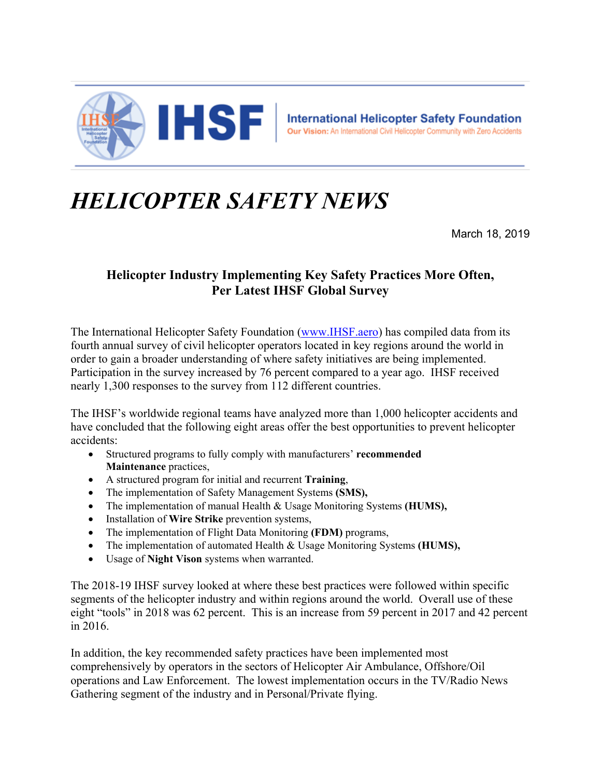

## *HELICOPTER SAFETY NEWS*

March 18, 2019

## **Helicopter Industry Implementing Key Safety Practices More Often, Per Latest IHSF Global Survey**

The International Helicopter Safety Foundation (www.IHSF.aero) has compiled data from its fourth annual survey of civil helicopter operators located in key regions around the world in order to gain a broader understanding of where safety initiatives are being implemented. Participation in the survey increased by 76 percent compared to a year ago. IHSF received nearly 1,300 responses to the survey from 112 different countries.

The IHSF's worldwide regional teams have analyzed more than 1,000 helicopter accidents and have concluded that the following eight areas offer the best opportunities to prevent helicopter accidents:

- Structured programs to fully comply with manufacturers' **recommended Maintenance** practices,
- A structured program for initial and recurrent **Training**,
- The implementation of Safety Management Systems **(SMS),**
- The implementation of manual Health & Usage Monitoring Systems **(HUMS),**
- **•** Installation of **Wire Strike** prevention systems,
- The implementation of Flight Data Monitoring **(FDM)** programs,
- The implementation of automated Health & Usage Monitoring Systems **(HUMS),**
- Usage of **Night Vison** systems when warranted.

The 2018-19 IHSF survey looked at where these best practices were followed within specific segments of the helicopter industry and within regions around the world. Overall use of these eight "tools" in 2018 was 62 percent. This is an increase from 59 percent in 2017 and 42 percent in 2016.

In addition, the key recommended safety practices have been implemented most comprehensively by operators in the sectors of Helicopter Air Ambulance, Offshore/Oil operations and Law Enforcement. The lowest implementation occurs in the TV/Radio News Gathering segment of the industry and in Personal/Private flying.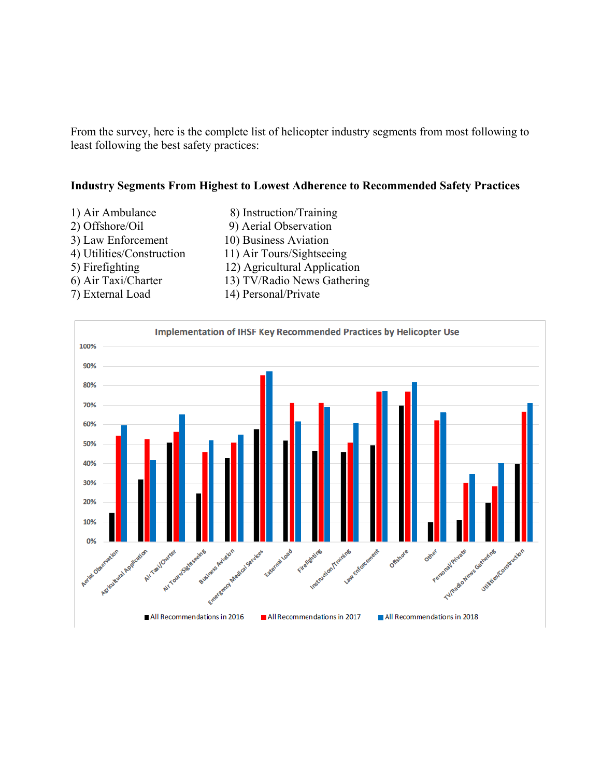From the survey, here is the complete list of helicopter industry segments from most following to least following the best safety practices:

## **Industry Segments From Highest to Lowest Adherence to Recommended Safety Practices**

1) Air Ambulance 8) Instruction/Training 2) Offshore/Oil 9) Aerial Observation 3) Law Enforcement 10) Business Aviation 4) Utilities/Construction 11) Air Tours/Sightseeing 5) Firefighting 12) Agricultural Application 6) Air Taxi/Charter 13) TV/Radio News Gathering 7) External Load 14) Personal/Private

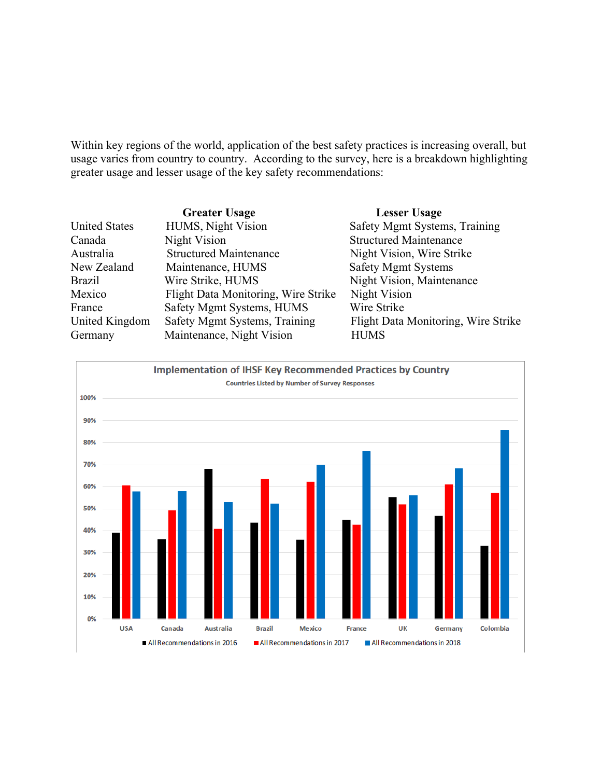Within key regions of the world, application of the best safety practices is increasing overall, but usage varies from country to country. According to the survey, here is a breakdown highlighting greater usage and lesser usage of the key safety recommendations:

|                      | <b>Greater Usage</b>                | <b>Lesser Usage</b>                 |
|----------------------|-------------------------------------|-------------------------------------|
| <b>United States</b> | HUMS, Night Vision                  | Safety Mgmt Systems, Training       |
| Canada               | Night Vision                        | <b>Structured Maintenance</b>       |
| Australia            | <b>Structured Maintenance</b>       | Night Vision, Wire Strike           |
| New Zealand          | Maintenance, HUMS                   | <b>Safety Mgmt Systems</b>          |
| <b>Brazil</b>        | Wire Strike, HUMS                   | Night Vision, Maintenance           |
| Mexico               | Flight Data Monitoring, Wire Strike | Night Vision                        |
| France               | Safety Mgmt Systems, HUMS           | Wire Strike                         |
| United Kingdom       | Safety Mgmt Systems, Training       | Flight Data Monitoring, Wire Strike |
| Germany              | Maintenance, Night Vision           | <b>HUMS</b>                         |